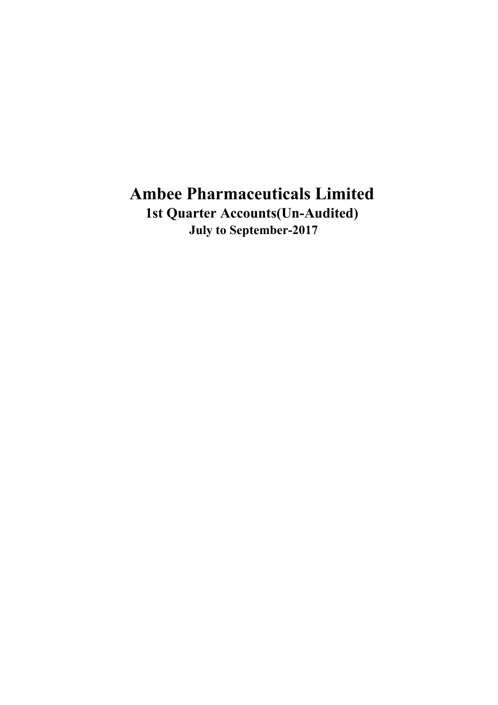# **Ambee Pharmaceuticals Limited 1st Quarter Accounts(Un-Audited) July to September-2017**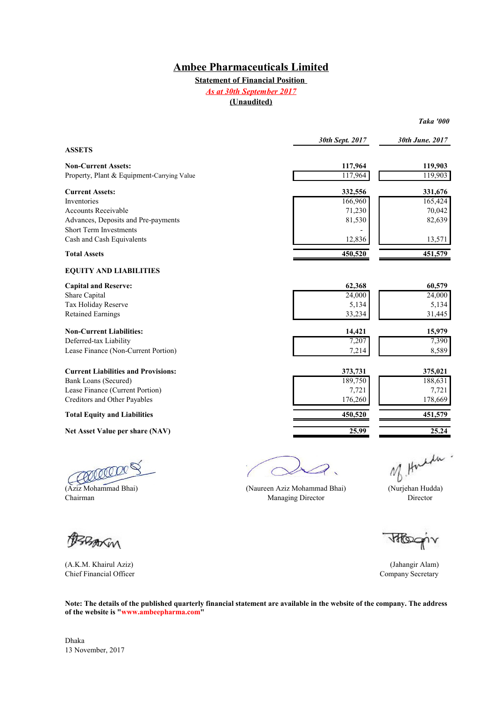### **Statement of Financial Position**

*As at 30th September 2017*

**(Unaudited)**

|                                            | 30th Sept. 2017              | 30th June. 2017  |
|--------------------------------------------|------------------------------|------------------|
| <b>ASSETS</b>                              |                              |                  |
| <b>Non-Current Assets:</b>                 | 117,964                      | 119,903          |
| Property, Plant & Equipment-Carrying Value | 117,964                      | 119,903          |
| <b>Current Assets:</b>                     | 332,556                      | 331,676          |
| <b>Inventories</b>                         | 166,960                      | 165,424          |
| <b>Accounts Receivable</b>                 | 71,230                       | 70,042           |
| Advances, Deposits and Pre-payments        | 81,530                       | 82,639           |
| Short Term Investments                     |                              |                  |
| Cash and Cash Equivalents                  | 12,836                       | 13,571           |
| <b>Total Assets</b>                        | 450,520                      | 451,579          |
| <b>EQUITY AND LIABILITIES</b>              |                              |                  |
| <b>Capital and Reserve:</b>                | 62,368                       | 60,579           |
| Share Capital                              | 24,000                       | 24,000           |
| Tax Holiday Reserve                        | 5,134                        | 5,134            |
| <b>Retained Earnings</b>                   | 33,234                       | 31,445           |
| <b>Non-Current Liabilities:</b>            | 14,421                       | 15,979           |
| Deferred-tax Liability                     | 7,207                        | 7,390            |
| Lease Finance (Non-Current Portion)        | 7,214                        | 8,589            |
| <b>Current Liabilities and Provisions:</b> | 373,731                      | 375,021          |
| Bank Loans (Secured)                       | 189,750                      | 188,631          |
| Lease Finance (Current Portion)            | 7,721                        | 7,721            |
| Creditors and Other Payables               | 176,260                      | 178,669          |
| <b>Total Equity and Liabilities</b>        | 450,520                      | 451,579          |
| Net Asset Value per share (NAV)            | 25.99                        | 25.24            |
| MANDO C                                    |                              | M. Hussen        |
| (Aziz Mohammad Bhai)                       | (Naureen Aziz Mohammad Bhai) | (Nurjehan Hudda) |

 $\mathcal{R}$ 

BRAKM

(A.K.M. Khairul Aziz) (Jahangir Alam) Chief Financial Officer Company Secretary

Chairman Managing Director Director Director Director

*Taka '000*

Hollow

**Note: The details of the published quarterly financial statement are available in the website of the company. The address of the website is "www.ambeepharma.com"**

Dhaka 13 November, 2017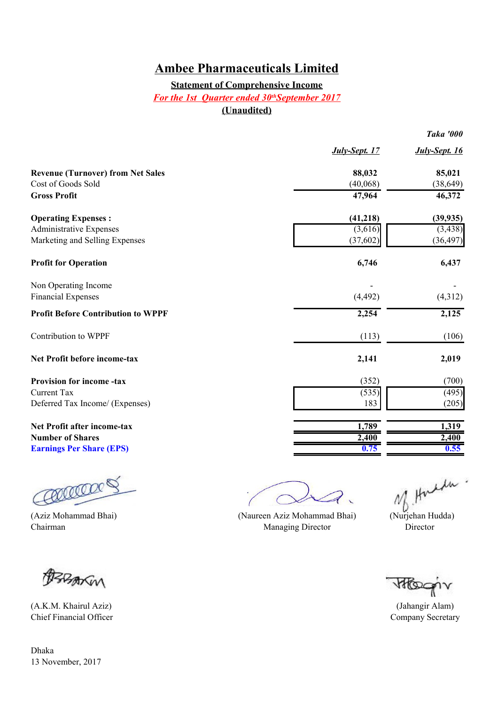### **Statement of Comprehensive Income**

### *For the 1st Quarter ended 30 thSeptember 2017*

**(Unaudited)**

|                                           |               | <b>Taka '000</b> |
|-------------------------------------------|---------------|------------------|
|                                           | July-Sept. 17 | July-Sept. 16    |
| <b>Revenue (Turnover) from Net Sales</b>  | 88,032        | 85,021           |
| Cost of Goods Sold                        | (40,068)      | (38, 649)        |
| <b>Gross Profit</b>                       | 47,964        | 46,372           |
| <b>Operating Expenses:</b>                | (41, 218)     | (39, 935)        |
| <b>Administrative Expenses</b>            | (3,616)       | (3, 438)         |
| Marketing and Selling Expenses            | (37, 602)     | (36, 497)        |
| <b>Profit for Operation</b>               | 6,746         | 6,437            |
| Non Operating Income                      |               |                  |
| <b>Financial Expenses</b>                 | (4, 492)      | (4,312)          |
| <b>Profit Before Contribution to WPPF</b> | 2,254         | 2,125            |
| Contribution to WPPF                      | (113)         | (106)            |
| Net Profit before income-tax              | 2,141         | 2,019            |
| <b>Provision for income -tax</b>          | (352)         | (700)            |
| <b>Current Tax</b>                        | (535)         | (495)            |
| Deferred Tax Income/ (Expenses)           | 183           | (205)            |
| <b>Net Profit after income-tax</b>        | 1,789         | 1,319            |
| <b>Number of Shares</b>                   | 2,400         | 2,400            |
| <b>Earnings Per Share (EPS)</b>           | 0.75          | 0.55             |

COLLEGE

BRAKIN

(A.K.M. Khairul Aziz) (Jahangir Alam) Chief Financial Officer Company Secretary

Dhaka 13 November, 2017

(Aziz Mohammad Bhai) (Naureen Aziz Mohammad Bhai) (Nurjehan Hudda)

Chairman Managing Director Director Director

these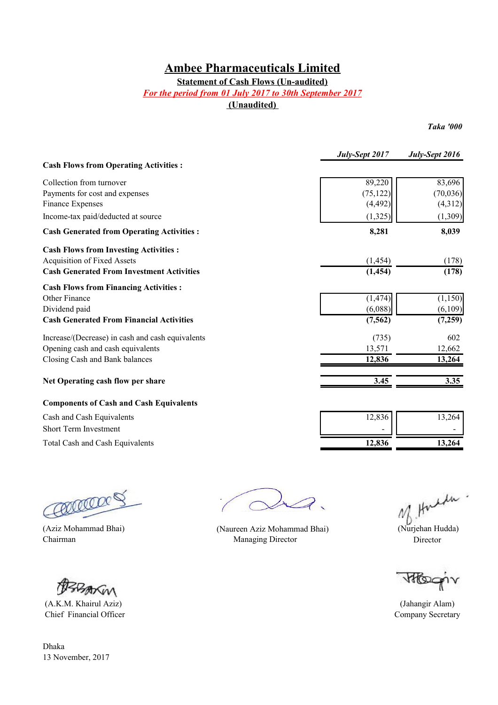### **Statement of Cash Flows (Un-audited)**

### *For the period from 01 July 2017 to 30th September 2017*

 **(Unaudited)** 

*Taka '000*

|                                                   | July-Sept 2017 | July-Sept 2016 |
|---------------------------------------------------|----------------|----------------|
| <b>Cash Flows from Operating Activities:</b>      |                |                |
| Collection from turnover                          | 89,220         | 83,696         |
| Payments for cost and expenses                    | (75, 122)      | (70,036)       |
| Finance Expenses                                  | (4, 492)       | (4,312)        |
| Income-tax paid/deducted at source                | (1, 325)       | (1,309)        |
| <b>Cash Generated from Operating Activities :</b> | 8,281          | 8,039          |
| <b>Cash Flows from Investing Activities:</b>      |                |                |
| Acquisition of Fixed Assets                       | (1, 454)       | (178)          |
| <b>Cash Generated From Investment Activities</b>  | (1,454)        | (178)          |
| <b>Cash Flows from Financing Activities:</b>      |                |                |
| <b>Other Finance</b>                              | (1, 474)       | (1, 150)       |
| Dividend paid                                     | (6,088)        | (6,109)        |
| <b>Cash Generated From Financial Activities</b>   | (7, 562)       | (7,259)        |
| Increase/(Decrease) in cash and cash equivalents  | (735)          | 602            |
| Opening cash and cash equivalents                 | 13,571         | 12,662         |
| Closing Cash and Bank balances                    | 12,836         | 13,264         |
| Net Operating cash flow per share                 | 3.45           | 3.35           |
| <b>Components of Cash and Cash Equivalents</b>    |                |                |
| Cash and Cash Equivalents                         | 12,836         | 13,264         |
| Short Term Investment                             |                |                |
| Total Cash and Cash Equivalents                   | 12,836         | 13,264         |

COLLEGE

BRAKIN

 (A.K.M. Khairul Aziz) (Jahangir Alam) Chief Financial Officer Company Secretary

Dhaka 13 November, 2017

(COOLLER )<br>(Aziz Mohammad Bhai) (Naureen Aziz Mohammad Bhai) (Nurjehan Hudda)  $\lambda$  $\widehat{\mathcal{A}}$ 

Chairman Director Managing Director Director

these nγ